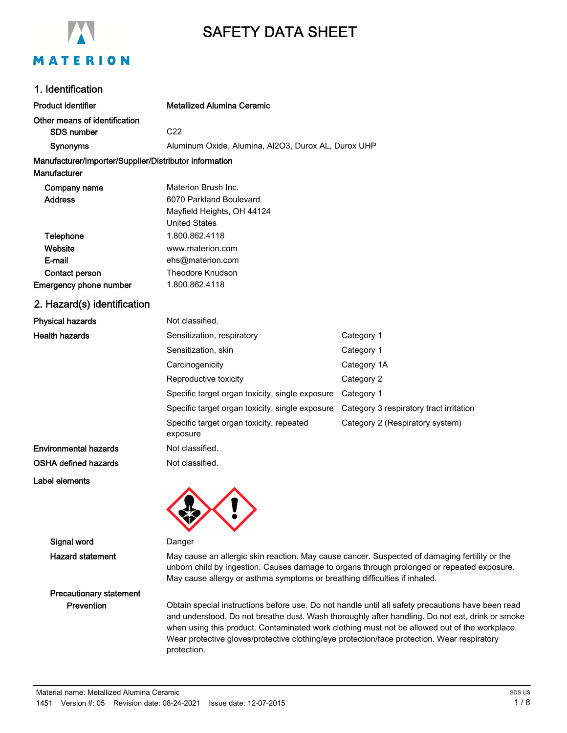

# SAFETY DATA SHEET

### 1. Identification

| <b>Product identifier</b>                              | <b>Metallized Alumina Ceramic</b>                    |                                         |  |  |
|--------------------------------------------------------|------------------------------------------------------|-----------------------------------------|--|--|
| Other means of identification<br><b>SDS number</b>     | C <sub>22</sub>                                      |                                         |  |  |
| <b>Synonyms</b>                                        | Aluminum Oxide, Alumina, Al2O3, Durox AL, Durox UHP  |                                         |  |  |
| Manufacturer/Importer/Supplier/Distributor information |                                                      |                                         |  |  |
| Manufacturer                                           |                                                      |                                         |  |  |
| Company name                                           | Materion Brush Inc.                                  |                                         |  |  |
| <b>Address</b>                                         | 6070 Parkland Boulevard                              |                                         |  |  |
|                                                        | Mayfield Heights, OH 44124                           |                                         |  |  |
|                                                        | <b>United States</b>                                 |                                         |  |  |
| Telephone                                              | 1.800.862.4118                                       |                                         |  |  |
| Website                                                | www.materion.com                                     |                                         |  |  |
| E-mail                                                 | ehs@materion.com                                     |                                         |  |  |
| Contact person                                         | <b>Theodore Knudson</b>                              |                                         |  |  |
| <b>Emergency phone number</b>                          | 1.800.862.4118                                       |                                         |  |  |
| 2. Hazard(s) identification                            |                                                      |                                         |  |  |
| <b>Physical hazards</b>                                | Not classified.                                      |                                         |  |  |
| <b>Health hazards</b>                                  | Sensitization, respiratory                           | Category 1                              |  |  |
|                                                        | Sensitization, skin                                  | Category 1                              |  |  |
|                                                        | Carcinogenicity                                      | Category 1A                             |  |  |
|                                                        | Reproductive toxicity                                | Category 2                              |  |  |
|                                                        | Specific target organ toxicity, single exposure      | Category 1                              |  |  |
|                                                        | Specific target organ toxicity, single exposure      | Category 3 respiratory tract irritation |  |  |
|                                                        | Specific target organ toxicity, repeated<br>exposure | Category 2 (Respiratory system)         |  |  |
| Environmental hazards                                  | Not classified.                                      |                                         |  |  |
| OSHA defined hazards                                   | Not classified.                                      |                                         |  |  |

Label elements

Signal word Danger

Hazard statement May cause an allergic skin reaction. May cause cancer. Suspected of damaging fertility or the unborn child by ingestion. Causes damage to organs through prolonged or repeated exposure. May cause allergy or asthma symptoms or breathing difficulties if inhaled.

# Precautionary statement

Prevention **Obtain special instructions before use**. Do not handle until all safety precautions have been read and understood. Do not breathe dust. Wash thoroughly after handling. Do not eat, drink or smoke when using this product. Contaminated work clothing must not be allowed out of the workplace. Wear protective gloves/protective clothing/eye protection/face protection. Wear respiratory protection.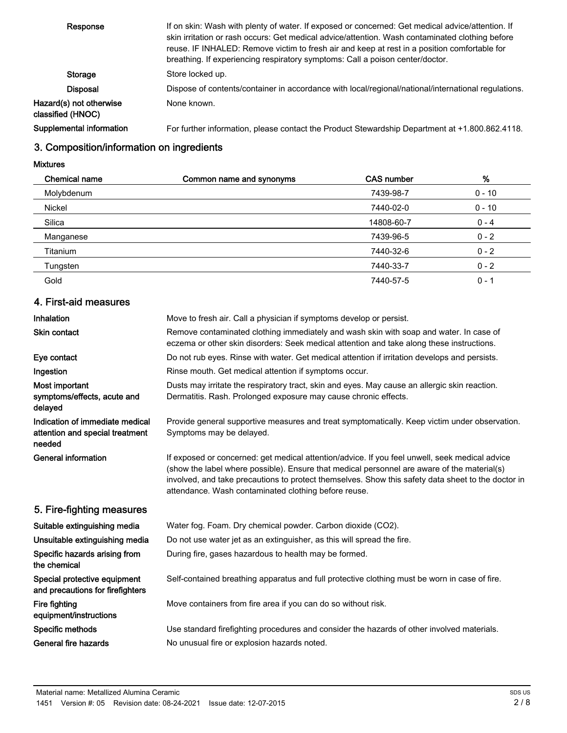| Response                                     | If on skin: Wash with plenty of water. If exposed or concerned: Get medical advice/attention. If<br>skin irritation or rash occurs: Get medical advice/attention. Wash contaminated clothing before<br>reuse. IF INHALED: Remove victim to fresh air and keep at rest in a position comfortable for<br>breathing. If experiencing respiratory symptoms: Call a poison center/doctor. |
|----------------------------------------------|--------------------------------------------------------------------------------------------------------------------------------------------------------------------------------------------------------------------------------------------------------------------------------------------------------------------------------------------------------------------------------------|
| Storage                                      | Store locked up.                                                                                                                                                                                                                                                                                                                                                                     |
| Disposal                                     | Dispose of contents/container in accordance with local/regional/national/international regulations.                                                                                                                                                                                                                                                                                  |
| Hazard(s) not otherwise<br>classified (HNOC) | None known.                                                                                                                                                                                                                                                                                                                                                                          |
| Supplemental information                     | For further information, please contact the Product Stewardship Department at +1.800.862.4118.                                                                                                                                                                                                                                                                                       |

# 3. Composition/information on ingredients

Mixtures

| Chemical name | Common name and synonyms | <b>CAS number</b> | %        |
|---------------|--------------------------|-------------------|----------|
| Molybdenum    |                          | 7439-98-7         | $0 - 10$ |
| <b>Nickel</b> |                          | 7440-02-0         | $0 - 10$ |
| Silica        |                          | 14808-60-7        | $0 - 4$  |
| Manganese     |                          | 7439-96-5         | $0 - 2$  |
| Titanium      |                          | 7440-32-6         | $0 - 2$  |
| Tungsten      |                          | 7440-33-7         | $0 - 2$  |
| Gold          |                          | 7440-57-5         | $0 - 1$  |

# 4. First-aid measures

| Inhalation                                                                   | Move to fresh air. Call a physician if symptoms develop or persist.                                                                                                                                                                                                                                                                                         |
|------------------------------------------------------------------------------|-------------------------------------------------------------------------------------------------------------------------------------------------------------------------------------------------------------------------------------------------------------------------------------------------------------------------------------------------------------|
| <b>Skin contact</b>                                                          | Remove contaminated clothing immediately and wash skin with soap and water. In case of<br>eczema or other skin disorders: Seek medical attention and take along these instructions.                                                                                                                                                                         |
| Eye contact                                                                  | Do not rub eyes. Rinse with water. Get medical attention if irritation develops and persists.                                                                                                                                                                                                                                                               |
| Ingestion                                                                    | Rinse mouth. Get medical attention if symptoms occur.                                                                                                                                                                                                                                                                                                       |
| Most important<br>symptoms/effects, acute and<br>delayed                     | Dusts may irritate the respiratory tract, skin and eyes. May cause an allergic skin reaction.<br>Dermatitis. Rash. Prolonged exposure may cause chronic effects.                                                                                                                                                                                            |
| Indication of immediate medical<br>attention and special treatment<br>needed | Provide general supportive measures and treat symptomatically. Keep victim under observation.<br>Symptoms may be delayed.                                                                                                                                                                                                                                   |
| <b>General information</b>                                                   | If exposed or concerned: get medical attention/advice. If you feel unwell, seek medical advice<br>(show the label where possible). Ensure that medical personnel are aware of the material(s)<br>involved, and take precautions to protect themselves. Show this safety data sheet to the doctor in<br>attendance. Wash contaminated clothing before reuse. |
| 5. Fire-fighting measures                                                    |                                                                                                                                                                                                                                                                                                                                                             |
| Suitable extinguishing media                                                 | Water fog. Foam. Dry chemical powder. Carbon dioxide (CO2).                                                                                                                                                                                                                                                                                                 |
| Unsuitable extinguishing media                                               | Do not use water jet as an extinguisher, as this will spread the fire.                                                                                                                                                                                                                                                                                      |
| Specific hazards arising from<br>the chemical                                | During fire, gases hazardous to health may be formed.                                                                                                                                                                                                                                                                                                       |
| Special protective equipment<br>and precautions for firefighters             | Self-contained breathing apparatus and full protective clothing must be worn in case of fire.                                                                                                                                                                                                                                                               |
| Fire fighting<br>equipment/instructions                                      | Move containers from fire area if you can do so without risk.                                                                                                                                                                                                                                                                                               |
| Specific methods                                                             | Use standard firefighting procedures and consider the hazards of other involved materials.                                                                                                                                                                                                                                                                  |
| General fire hazards                                                         | No unusual fire or explosion hazards noted.                                                                                                                                                                                                                                                                                                                 |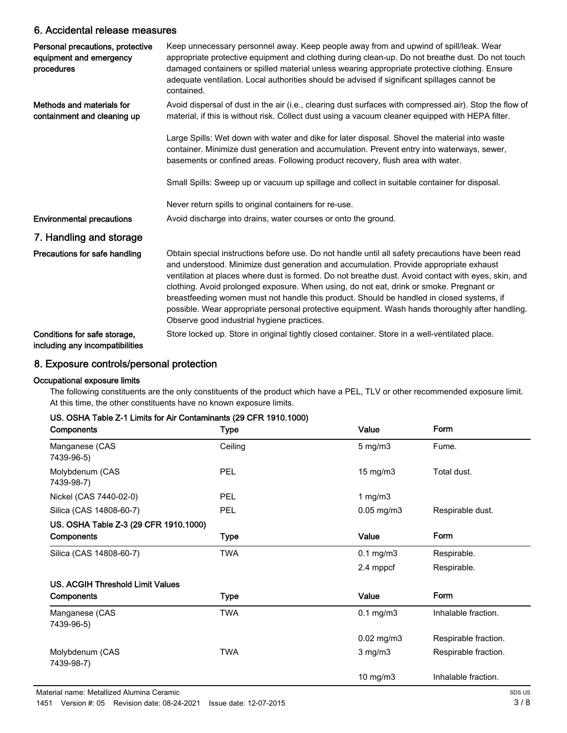### 6. Accidental release measures

| Personal precautions, protective<br>equipment and emergency<br>procedures | Keep unnecessary personnel away. Keep people away from and upwind of spill/leak. Wear<br>appropriate protective equipment and clothing during clean-up. Do not breathe dust. Do not touch<br>damaged containers or spilled material unless wearing appropriate protective clothing. Ensure<br>adequate ventilation. Local authorities should be advised if significant spillages cannot be<br>contained.                                                                                                                                                                                                                                    |
|---------------------------------------------------------------------------|---------------------------------------------------------------------------------------------------------------------------------------------------------------------------------------------------------------------------------------------------------------------------------------------------------------------------------------------------------------------------------------------------------------------------------------------------------------------------------------------------------------------------------------------------------------------------------------------------------------------------------------------|
| Methods and materials for<br>containment and cleaning up                  | Avoid dispersal of dust in the air (i.e., clearing dust surfaces with compressed air). Stop the flow of<br>material, if this is without risk. Collect dust using a vacuum cleaner equipped with HEPA filter.                                                                                                                                                                                                                                                                                                                                                                                                                                |
|                                                                           | Large Spills: Wet down with water and dike for later disposal. Shovel the material into waste<br>container. Minimize dust generation and accumulation. Prevent entry into waterways, sewer,<br>basements or confined areas. Following product recovery, flush area with water.                                                                                                                                                                                                                                                                                                                                                              |
|                                                                           | Small Spills: Sweep up or vacuum up spillage and collect in suitable container for disposal.                                                                                                                                                                                                                                                                                                                                                                                                                                                                                                                                                |
|                                                                           | Never return spills to original containers for re-use.                                                                                                                                                                                                                                                                                                                                                                                                                                                                                                                                                                                      |
| <b>Environmental precautions</b>                                          | Avoid discharge into drains, water courses or onto the ground.                                                                                                                                                                                                                                                                                                                                                                                                                                                                                                                                                                              |
| 7. Handling and storage                                                   |                                                                                                                                                                                                                                                                                                                                                                                                                                                                                                                                                                                                                                             |
| Precautions for safe handling                                             | Obtain special instructions before use. Do not handle until all safety precautions have been read<br>and understood. Minimize dust generation and accumulation. Provide appropriate exhaust<br>ventilation at places where dust is formed. Do not breathe dust. Avoid contact with eyes, skin, and<br>clothing. Avoid prolonged exposure. When using, do not eat, drink or smoke. Pregnant or<br>breastfeeding women must not handle this product. Should be handled in closed systems, if<br>possible. Wear appropriate personal protective equipment. Wash hands thoroughly after handling.<br>Observe good industrial hygiene practices. |
| Conditions for safe storage,<br>including any incompatibilities           | Store locked up. Store in original tightly closed container. Store in a well-ventilated place.                                                                                                                                                                                                                                                                                                                                                                                                                                                                                                                                              |

## 8. Exposure controls/personal protection

#### Occupational exposure limits

The following constituents are the only constituents of the product which have a PEL, TLV or other recommended exposure limit. At this time, the other constituents have no known exposure limits.

#### US. OSHA Table Z-1 Limits for Air Contaminants (29 CFR 1910.1000)

| Components                            | <b>Type</b> | Value           | Form                 |
|---------------------------------------|-------------|-----------------|----------------------|
| Manganese (CAS<br>7439-96-5)          | Ceiling     | $5$ mg/m $3$    | Fume.                |
| Molybdenum (CAS<br>7439-98-7)         | <b>PEL</b>  | $15$ mg/m $3$   | Total dust.          |
| Nickel (CAS 7440-02-0)                | <b>PEL</b>  | 1 mg/m $3$      |                      |
| Silica (CAS 14808-60-7)               | <b>PEL</b>  | $0.05$ mg/m $3$ | Respirable dust.     |
| US. OSHA Table Z-3 (29 CFR 1910.1000) |             |                 |                      |
| Components                            | Type        | Value           | Form                 |
| Silica (CAS 14808-60-7)               | <b>TWA</b>  | $0.1$ mg/m $3$  | Respirable.          |
|                                       |             | 2.4 mppcf       | Respirable.          |
| US. ACGIH Threshold Limit Values      |             |                 |                      |
| Components                            | Type        | Value           | Form                 |
| Manganese (CAS<br>7439-96-5)          | <b>TWA</b>  | $0.1$ mg/m $3$  | Inhalable fraction.  |
|                                       |             | $0.02$ mg/m $3$ | Respirable fraction. |
| Molybdenum (CAS<br>7439-98-7)         | <b>TWA</b>  | $3$ mg/m $3$    | Respirable fraction. |
|                                       |             | 10 mg/m3        | Inhalable fraction.  |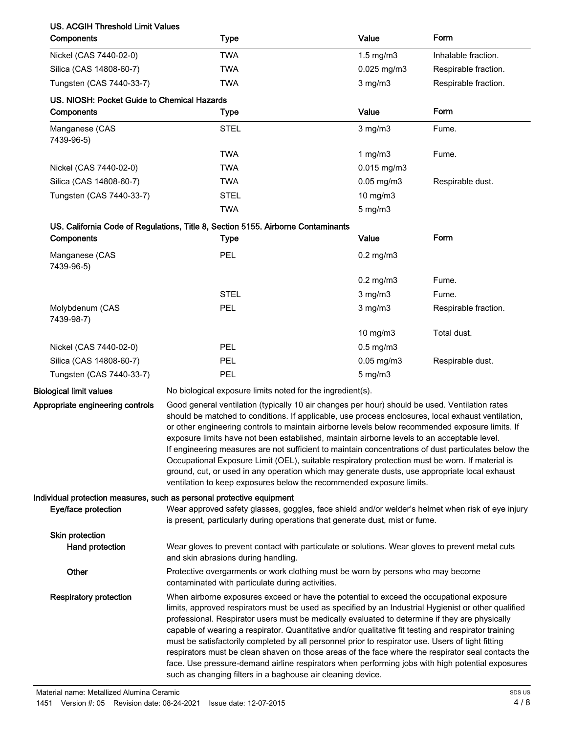## US. ACGIH Threshold Limit Values

| <b>Type</b>                                 | Value                                | Form                 |
|---------------------------------------------|--------------------------------------|----------------------|
| <b>TWA</b>                                  | $1.5 \text{ mg/m}$                   | Inhalable fraction.  |
| <b>TWA</b>                                  | $0.025$ mg/m $3$                     | Respirable fraction. |
| <b>TWA</b>                                  | $3$ mg/m $3$<br>Respirable fraction. |                      |
| US. NIOSH: Pocket Guide to Chemical Hazards |                                      |                      |
| Type                                        | Value                                | Form                 |
| <b>STEL</b>                                 | $3$ mg/m $3$                         | Fume.                |
| <b>TWA</b>                                  | 1 mg/m $3$                           | Fume.                |
| <b>TWA</b>                                  | $0.015$ mg/m $3$                     |                      |
| <b>TWA</b>                                  | $0.05$ mg/m $3$                      | Respirable dust.     |
| <b>STEL</b>                                 | $10$ mg/m $3$                        |                      |
| <b>TWA</b>                                  | $5 \text{ mg/m}$                     |                      |
|                                             |                                      |                      |

#### US. California Code of Regulations, Title 8, Section 5155. Airborne Contaminants

| Components                    | <b>Type</b> | Value                   | Form                 |
|-------------------------------|-------------|-------------------------|----------------------|
| Manganese (CAS<br>7439-96-5)  | PEL         | $0.2$ mg/m $3$          |                      |
|                               |             | $0.2$ mg/m $3$          | Fume.                |
|                               | <b>STEL</b> | $3$ mg/m $3$            | Fume.                |
| Molybdenum (CAS<br>7439-98-7) | <b>PEL</b>  | $3 \text{ mg/m}$        | Respirable fraction. |
|                               |             | $10 \text{ mg/m}$       | Total dust.          |
| Nickel (CAS 7440-02-0)        | PEL         | $0.5 \text{ mg/m}$ 3    |                      |
| Silica (CAS 14808-60-7)       | PEL         | $0.05 \,\mathrm{mg/m3}$ | Respirable dust.     |
| Tungsten (CAS 7440-33-7)      | PEL         | $5 \text{ mg/m}$ 3      |                      |

Appropriate engineering controls

Biological limit values No biological exposure limits noted for the ingredient(s).

Good general ventilation (typically 10 air changes per hour) should be used. Ventilation rates should be matched to conditions. If applicable, use process enclosures, local exhaust ventilation, or other engineering controls to maintain airborne levels below recommended exposure limits. If exposure limits have not been established, maintain airborne levels to an acceptable level. If engineering measures are not sufficient to maintain concentrations of dust particulates below the Occupational Exposure Limit (OEL), suitable respiratory protection must be worn. If material is ground, cut, or used in any operation which may generate dusts, use appropriate local exhaust ventilation to keep exposures below the recommended exposure limits.

#### Individual protection measures, such as personal protective equipment

| Eye/face protection           | Wear approved safety glasses, goggles, face shield and/or welder's helmet when risk of eye injury<br>is present, particularly during operations that generate dust, mist or fume.                                                                                                                                                                                                                                                                                                                                                                                                                                                                                                                                                                                                        |
|-------------------------------|------------------------------------------------------------------------------------------------------------------------------------------------------------------------------------------------------------------------------------------------------------------------------------------------------------------------------------------------------------------------------------------------------------------------------------------------------------------------------------------------------------------------------------------------------------------------------------------------------------------------------------------------------------------------------------------------------------------------------------------------------------------------------------------|
| <b>Skin protection</b>        |                                                                                                                                                                                                                                                                                                                                                                                                                                                                                                                                                                                                                                                                                                                                                                                          |
| Hand protection               | Wear gloves to prevent contact with particulate or solutions. Wear gloves to prevent metal cuts<br>and skin abrasions during handling.                                                                                                                                                                                                                                                                                                                                                                                                                                                                                                                                                                                                                                                   |
| Other                         | Protective overgarments or work clothing must be worn by persons who may become<br>contaminated with particulate during activities.                                                                                                                                                                                                                                                                                                                                                                                                                                                                                                                                                                                                                                                      |
| <b>Respiratory protection</b> | When airborne exposures exceed or have the potential to exceed the occupational exposure<br>limits, approved respirators must be used as specified by an Industrial Hygienist or other qualified<br>professional. Respirator users must be medically evaluated to determine if they are physically<br>capable of wearing a respirator. Quantitative and/or qualitative fit testing and respirator training<br>must be satisfactorily completed by all personnel prior to respirator use. Users of tight fitting<br>respirators must be clean shaven on those areas of the face where the respirator seal contacts the<br>face. Use pressure-demand airline respirators when performing jobs with high potential exposures<br>such as changing filters in a baghouse air cleaning device. |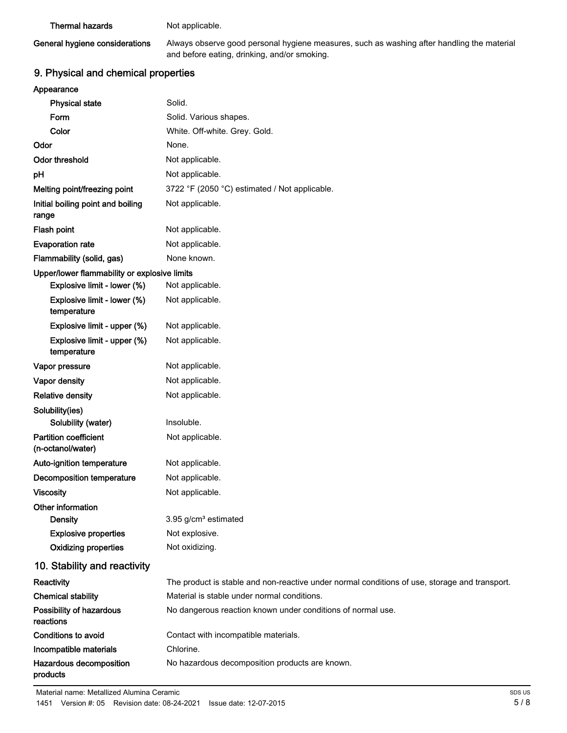#### Thermal hazards Not applicable.

## General hygiene considerations

Always observe good personal hygiene measures, such as washing after handling the material and before eating, drinking, and/or smoking.

# 9. Physical and chemical properties

| Appearance            |  |
|-----------------------|--|
| <b>Physical state</b> |  |
| Form                  |  |

| <b>Physical state</b>                             | Solid.                                                                                        |
|---------------------------------------------------|-----------------------------------------------------------------------------------------------|
| Form                                              | Solid. Various shapes.                                                                        |
| Color                                             | White. Off-white. Grey. Gold.                                                                 |
| Odor                                              | None.                                                                                         |
| <b>Odor threshold</b>                             | Not applicable.                                                                               |
| pH                                                | Not applicable.                                                                               |
| Melting point/freezing point                      | 3722 °F (2050 °C) estimated / Not applicable.                                                 |
| Initial boiling point and boiling<br>range        | Not applicable.                                                                               |
| Flash point                                       | Not applicable.                                                                               |
| <b>Evaporation rate</b>                           | Not applicable.                                                                               |
| Flammability (solid, gas)                         | None known.                                                                                   |
| Upper/lower flammability or explosive limits      |                                                                                               |
| Explosive limit - lower (%)                       | Not applicable.                                                                               |
| Explosive limit - lower (%)<br>temperature        | Not applicable.                                                                               |
| Explosive limit - upper (%)                       | Not applicable.                                                                               |
| Explosive limit - upper (%)<br>temperature        | Not applicable.                                                                               |
| Vapor pressure                                    | Not applicable.                                                                               |
| Vapor density                                     | Not applicable.                                                                               |
| <b>Relative density</b>                           | Not applicable.                                                                               |
| Solubility(ies)                                   |                                                                                               |
| Solubility (water)                                | Insoluble.                                                                                    |
| <b>Partition coefficient</b><br>(n-octanol/water) | Not applicable.                                                                               |
| Auto-ignition temperature                         | Not applicable.                                                                               |
| Decomposition temperature                         | Not applicable.                                                                               |
| <b>Viscosity</b>                                  | Not applicable.                                                                               |
| Other information                                 |                                                                                               |
| <b>Density</b>                                    | 3.95 g/cm <sup>3</sup> estimated                                                              |
| <b>Explosive properties</b>                       | Not explosive.                                                                                |
| <b>Oxidizing properties</b>                       | Not oxidizing.                                                                                |
| 10. Stability and reactivity                      |                                                                                               |
| Reactivity                                        | The product is stable and non-reactive under normal conditions of use, storage and transport. |
| <b>Chemical stability</b>                         | Material is stable under normal conditions.                                                   |
| Possibility of hazardous<br>reactions             | No dangerous reaction known under conditions of normal use.                                   |
| <b>Conditions to avoid</b>                        | Contact with incompatible materials.                                                          |
| Incompatible materials                            | Chlorine.                                                                                     |

Hazardous decomposition No hazardous decomposition products are known.

products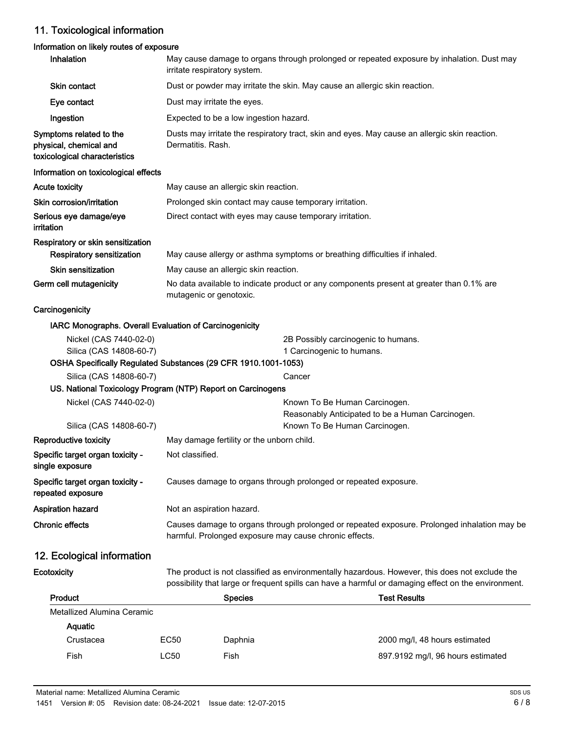# 11. Toxicological information

## Information on likely routes of exposure

| Inhalation                                                                                | May cause damage to organs through prolonged or repeated exposure by inhalation. Dust may<br>irritate respiratory system.                             |                                      |                                                                            |                                                                                                                                                                                                       |
|-------------------------------------------------------------------------------------------|-------------------------------------------------------------------------------------------------------------------------------------------------------|--------------------------------------|----------------------------------------------------------------------------|-------------------------------------------------------------------------------------------------------------------------------------------------------------------------------------------------------|
| Skin contact                                                                              | Dust or powder may irritate the skin. May cause an allergic skin reaction.                                                                            |                                      |                                                                            |                                                                                                                                                                                                       |
| Eye contact                                                                               | Dust may irritate the eyes.                                                                                                                           |                                      |                                                                            |                                                                                                                                                                                                       |
| Ingestion                                                                                 | Expected to be a low ingestion hazard.                                                                                                                |                                      |                                                                            |                                                                                                                                                                                                       |
| Symptoms related to the<br>physical, chemical and<br>toxicological characteristics        | Dusts may irritate the respiratory tract, skin and eyes. May cause an allergic skin reaction.<br>Dermatitis, Rash.                                    |                                      |                                                                            |                                                                                                                                                                                                       |
| Information on toxicological effects                                                      |                                                                                                                                                       |                                      |                                                                            |                                                                                                                                                                                                       |
| Acute toxicity                                                                            |                                                                                                                                                       | May cause an allergic skin reaction. |                                                                            |                                                                                                                                                                                                       |
| Skin corrosion/irritation                                                                 |                                                                                                                                                       |                                      | Prolonged skin contact may cause temporary irritation.                     |                                                                                                                                                                                                       |
| Serious eye damage/eye<br>irritation                                                      |                                                                                                                                                       |                                      | Direct contact with eyes may cause temporary irritation.                   |                                                                                                                                                                                                       |
| Respiratory or skin sensitization<br>Respiratory sensitization                            |                                                                                                                                                       |                                      | May cause allergy or asthma symptoms or breathing difficulties if inhaled. |                                                                                                                                                                                                       |
| <b>Skin sensitization</b>                                                                 |                                                                                                                                                       | May cause an allergic skin reaction. |                                                                            |                                                                                                                                                                                                       |
| Germ cell mutagenicity                                                                    | No data available to indicate product or any components present at greater than 0.1% are<br>mutagenic or genotoxic.                                   |                                      |                                                                            |                                                                                                                                                                                                       |
| Carcinogenicity                                                                           |                                                                                                                                                       |                                      |                                                                            |                                                                                                                                                                                                       |
| IARC Monographs. Overall Evaluation of Carcinogenicity                                    |                                                                                                                                                       |                                      |                                                                            |                                                                                                                                                                                                       |
| Nickel (CAS 7440-02-0)<br>Silica (CAS 14808-60-7)                                         |                                                                                                                                                       |                                      | 2B Possibly carcinogenic to humans.<br>1 Carcinogenic to humans.           |                                                                                                                                                                                                       |
| OSHA Specifically Regulated Substances (29 CFR 1910.1001-1053)<br>Silica (CAS 14808-60-7) |                                                                                                                                                       |                                      | Cancer                                                                     |                                                                                                                                                                                                       |
| US. National Toxicology Program (NTP) Report on Carcinogens                               |                                                                                                                                                       |                                      |                                                                            |                                                                                                                                                                                                       |
| Nickel (CAS 7440-02-0)                                                                    |                                                                                                                                                       |                                      | Known To Be Human Carcinogen.                                              | Reasonably Anticipated to be a Human Carcinogen.                                                                                                                                                      |
| Silica (CAS 14808-60-7)                                                                   |                                                                                                                                                       |                                      | Known To Be Human Carcinogen.                                              |                                                                                                                                                                                                       |
| <b>Reproductive toxicity</b>                                                              | May damage fertility or the unborn child.                                                                                                             |                                      |                                                                            |                                                                                                                                                                                                       |
| Specific target organ toxicity -<br>single exposure                                       | Not classified.                                                                                                                                       |                                      |                                                                            |                                                                                                                                                                                                       |
| Specific target organ toxicity -<br>repeated exposure                                     |                                                                                                                                                       |                                      | Causes damage to organs through prolonged or repeated exposure.            |                                                                                                                                                                                                       |
| <b>Aspiration hazard</b>                                                                  |                                                                                                                                                       | Not an aspiration hazard.            |                                                                            |                                                                                                                                                                                                       |
| <b>Chronic effects</b>                                                                    | Causes damage to organs through prolonged or repeated exposure. Prolonged inhalation may be<br>harmful. Prolonged exposure may cause chronic effects. |                                      |                                                                            |                                                                                                                                                                                                       |
| 12. Ecological information                                                                |                                                                                                                                                       |                                      |                                                                            |                                                                                                                                                                                                       |
| Ecotoxicity                                                                               |                                                                                                                                                       |                                      |                                                                            | The product is not classified as environmentally hazardous. However, this does not exclude the<br>possibility that large or frequent spills can have a harmful or damaging effect on the environment. |
| Product                                                                                   |                                                                                                                                                       | <b>Species</b>                       |                                                                            | <b>Test Results</b>                                                                                                                                                                                   |
| Metallized Alumina Ceramic                                                                |                                                                                                                                                       |                                      |                                                                            |                                                                                                                                                                                                       |
| Aquatic                                                                                   |                                                                                                                                                       |                                      |                                                                            |                                                                                                                                                                                                       |
| Crustacea                                                                                 | <b>EC50</b>                                                                                                                                           | Daphnia                              |                                                                            | 2000 mg/l, 48 hours estimated                                                                                                                                                                         |

Fish Eish EC50 Fish B97.9192 mg/l, 96 hours estimated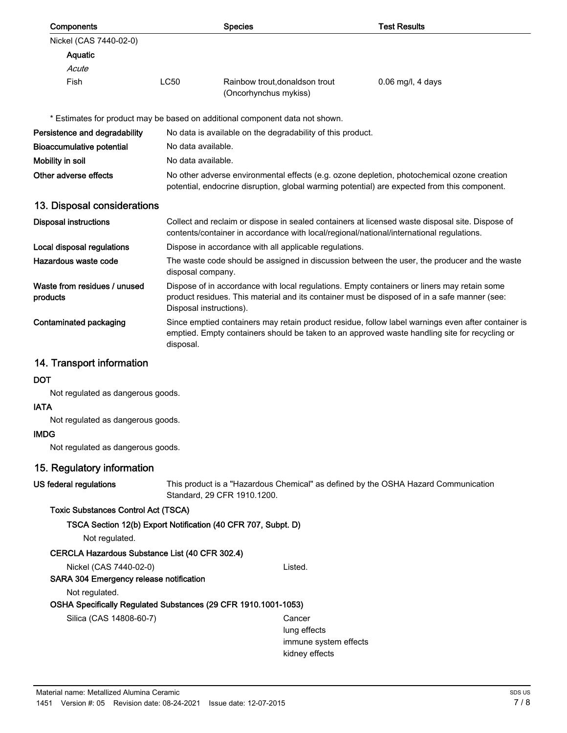| Components                               |                                                                                                                                                                                                                  | <b>Species</b>                                                                                                                                                                                                         | <b>Test Results</b> |  |  |  |
|------------------------------------------|------------------------------------------------------------------------------------------------------------------------------------------------------------------------------------------------------------------|------------------------------------------------------------------------------------------------------------------------------------------------------------------------------------------------------------------------|---------------------|--|--|--|
| Nickel (CAS 7440-02-0)                   |                                                                                                                                                                                                                  |                                                                                                                                                                                                                        |                     |  |  |  |
| Aquatic                                  |                                                                                                                                                                                                                  |                                                                                                                                                                                                                        |                     |  |  |  |
| Acute                                    |                                                                                                                                                                                                                  |                                                                                                                                                                                                                        |                     |  |  |  |
| Fish                                     | <b>LC50</b>                                                                                                                                                                                                      | Rainbow trout, donaldson trout<br>(Oncorhynchus mykiss)                                                                                                                                                                | $0.06$ mg/l, 4 days |  |  |  |
|                                          |                                                                                                                                                                                                                  | * Estimates for product may be based on additional component data not shown.                                                                                                                                           |                     |  |  |  |
| Persistence and degradability            | No data is available on the degradability of this product.                                                                                                                                                       |                                                                                                                                                                                                                        |                     |  |  |  |
| <b>Bioaccumulative potential</b>         |                                                                                                                                                                                                                  | No data available.                                                                                                                                                                                                     |                     |  |  |  |
| Mobility in soil                         |                                                                                                                                                                                                                  | No data available.                                                                                                                                                                                                     |                     |  |  |  |
| Other adverse effects                    |                                                                                                                                                                                                                  | No other adverse environmental effects (e.g. ozone depletion, photochemical ozone creation<br>potential, endocrine disruption, global warming potential) are expected from this component.                             |                     |  |  |  |
| 13. Disposal considerations              |                                                                                                                                                                                                                  |                                                                                                                                                                                                                        |                     |  |  |  |
| <b>Disposal instructions</b>             |                                                                                                                                                                                                                  | Collect and reclaim or dispose in sealed containers at licensed waste disposal site. Dispose of<br>contents/container in accordance with local/regional/national/international regulations.                            |                     |  |  |  |
| Local disposal regulations               |                                                                                                                                                                                                                  | Dispose in accordance with all applicable regulations.                                                                                                                                                                 |                     |  |  |  |
| Hazardous waste code                     |                                                                                                                                                                                                                  | The waste code should be assigned in discussion between the user, the producer and the waste<br>disposal company.                                                                                                      |                     |  |  |  |
| Waste from residues / unused<br>products |                                                                                                                                                                                                                  | Dispose of in accordance with local regulations. Empty containers or liners may retain some<br>product residues. This material and its container must be disposed of in a safe manner (see:<br>Disposal instructions). |                     |  |  |  |
| Contaminated packaging                   | Since emptied containers may retain product residue, follow label warnings even after container is<br>emptied. Empty containers should be taken to an approved waste handling site for recycling or<br>disposal. |                                                                                                                                                                                                                        |                     |  |  |  |
| 14. Transport information                |                                                                                                                                                                                                                  |                                                                                                                                                                                                                        |                     |  |  |  |
| <b>DOT</b>                               |                                                                                                                                                                                                                  |                                                                                                                                                                                                                        |                     |  |  |  |
| Not regulated as dangerous goods.        |                                                                                                                                                                                                                  |                                                                                                                                                                                                                        |                     |  |  |  |
| <b>IATA</b>                              |                                                                                                                                                                                                                  |                                                                                                                                                                                                                        |                     |  |  |  |
| Not regulated as dangerous goods.        |                                                                                                                                                                                                                  |                                                                                                                                                                                                                        |                     |  |  |  |
| <b>IMDG</b>                              |                                                                                                                                                                                                                  |                                                                                                                                                                                                                        |                     |  |  |  |
| Not regulated as dangerous goods.        |                                                                                                                                                                                                                  |                                                                                                                                                                                                                        |                     |  |  |  |
| 15. Regulatory information               |                                                                                                                                                                                                                  |                                                                                                                                                                                                                        |                     |  |  |  |
| US federal regulations                   |                                                                                                                                                                                                                  | This product is a "Hazardous Chemical" as defined by the OSHA Hazard Communication                                                                                                                                     |                     |  |  |  |

# Toxic Substances Control Act (TSCA)

Standard, 29 CFR 1910.1200.

TSCA Section 12(b) Export Notification (40 CFR 707, Subpt. D)

Not regulated.

## CERCLA Hazardous Substance List (40 CFR 302.4)

Nickel (CAS 7440-02-0) Listed.

# SARA 304 Emergency release notification

Not regulated.

# OSHA Specifically Regulated Substances (29 CFR 1910.1001-1053)

Silica (CAS 14808-60-7) Cancer

lung effects immune system effects kidney effects